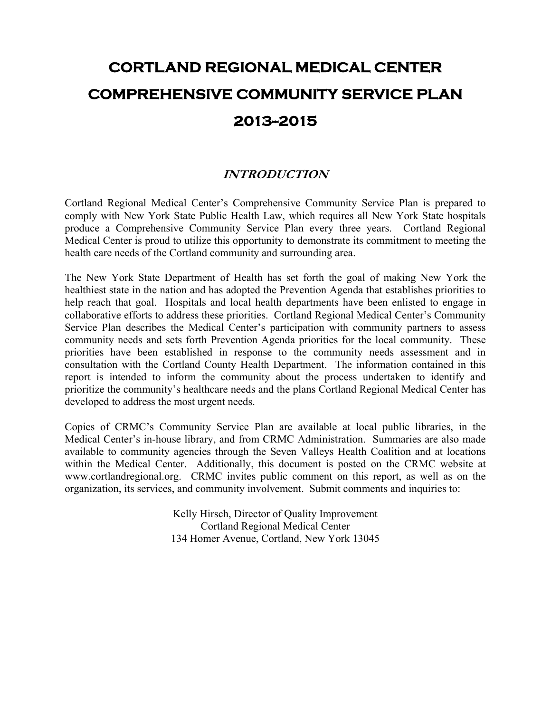# **CORTLAND REGIONAL MEDICAL CENTER COMPREHENSIVE COMMUNITY SERVICE PLAN 2013--2015**

# **INTRODUCTION**

Cortland Regional Medical Center's Comprehensive Community Service Plan is prepared to comply with New York State Public Health Law, which requires all New York State hospitals produce a Comprehensive Community Service Plan every three years. Cortland Regional Medical Center is proud to utilize this opportunity to demonstrate its commitment to meeting the health care needs of the Cortland community and surrounding area.

The New York State Department of Health has set forth the goal of making New York the healthiest state in the nation and has adopted the Prevention Agenda that establishes priorities to help reach that goal. Hospitals and local health departments have been enlisted to engage in collaborative efforts to address these priorities. Cortland Regional Medical Center's Community Service Plan describes the Medical Center's participation with community partners to assess community needs and sets forth Prevention Agenda priorities for the local community. These priorities have been established in response to the community needs assessment and in consultation with the Cortland County Health Department. The information contained in this report is intended to inform the community about the process undertaken to identify and prioritize the community's healthcare needs and the plans Cortland Regional Medical Center has developed to address the most urgent needs.

Copies of CRMC's Community Service Plan are available at local public libraries, in the Medical Center's in-house library, and from CRMC Administration. Summaries are also made available to community agencies through the Seven Valleys Health Coalition and at locations within the Medical Center. Additionally, this document is posted on the CRMC website at www.cortlandregional.org. CRMC invites public comment on this report, as well as on the organization, its services, and community involvement. Submit comments and inquiries to:

> Kelly Hirsch, Director of Quality Improvement Cortland Regional Medical Center 134 Homer Avenue, Cortland, New York 13045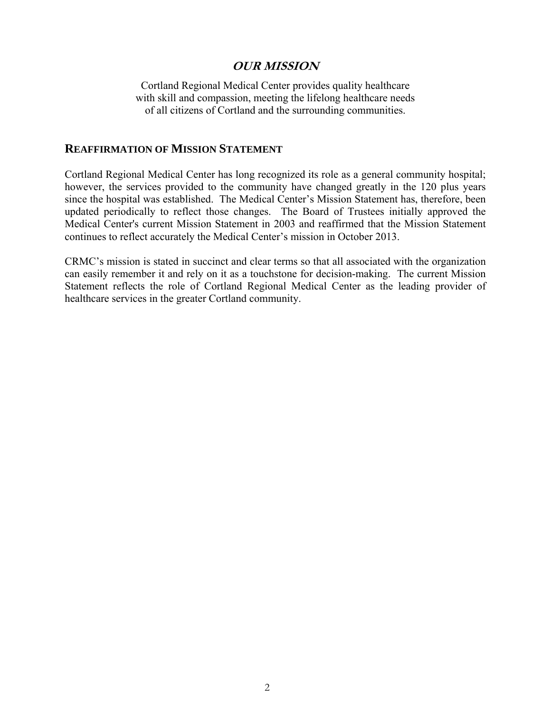### **OUR MISSION**

Cortland Regional Medical Center provides quality healthcare with skill and compassion, meeting the lifelong healthcare needs of all citizens of Cortland and the surrounding communities.

#### **REAFFIRMATION OF MISSION STATEMENT**

Cortland Regional Medical Center has long recognized its role as a general community hospital; however, the services provided to the community have changed greatly in the 120 plus years since the hospital was established. The Medical Center's Mission Statement has, therefore, been updated periodically to reflect those changes. The Board of Trustees initially approved the Medical Center's current Mission Statement in 2003 and reaffirmed that the Mission Statement continues to reflect accurately the Medical Center's mission in October 2013.

CRMC's mission is stated in succinct and clear terms so that all associated with the organization can easily remember it and rely on it as a touchstone for decision-making. The current Mission Statement reflects the role of Cortland Regional Medical Center as the leading provider of healthcare services in the greater Cortland community.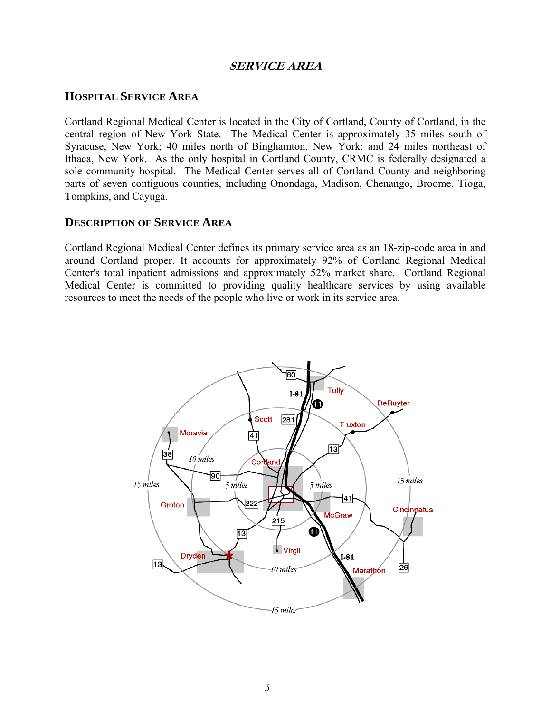### **SERVICE AREA**

### **HOSPITAL SERVICE AREA**

Cortland Regional Medical Center is located in the City of Cortland, County of Cortland, in the central region of New York State. The Medical Center is approximately 35 miles south of Syracuse, New York; 40 miles north of Binghamton, New York; and 24 miles northeast of Ithaca, New York. As the only hospital in Cortland County, CRMC is federally designated a sole community hospital. The Medical Center serves all of Cortland County and neighboring parts of seven contiguous counties, including Onondaga, Madison, Chenango, Broome, Tioga, Tompkins, and Cayuga.

### **DESCRIPTION OF SERVICE AREA**

Cortland Regional Medical Center defines its primary service area as an 18-zip-code area in and around Cortland proper. It accounts for approximately 92% of Cortland Regional Medical Center's total inpatient admissions and approximately 52% market share. Cortland Regional Medical Center is committed to providing quality healthcare services by using available resources to meet the needs of the people who live or work in its service area.

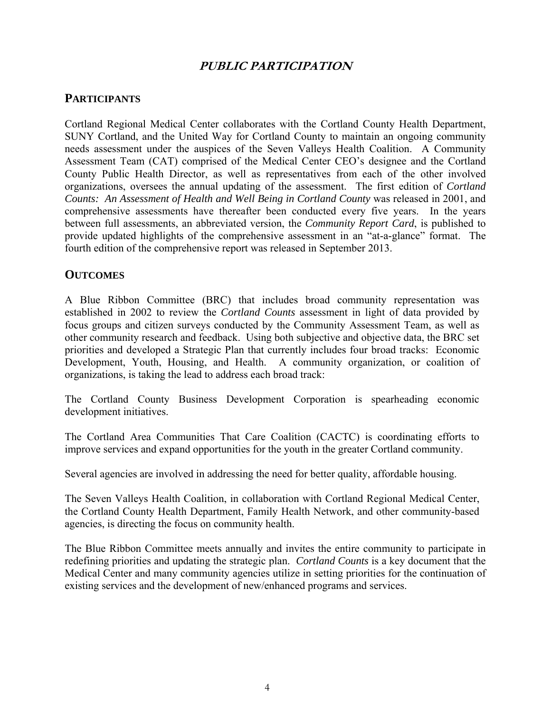# **PUBLIC PARTICIPATION**

# **PARTICIPANTS**

Cortland Regional Medical Center collaborates with the Cortland County Health Department, SUNY Cortland, and the United Way for Cortland County to maintain an ongoing community needs assessment under the auspices of the Seven Valleys Health Coalition. A Community Assessment Team (CAT) comprised of the Medical Center CEO's designee and the Cortland County Public Health Director, as well as representatives from each of the other involved organizations, oversees the annual updating of the assessment. The first edition of *Cortland Counts: An Assessment of Health and Well Being in Cortland County* was released in 2001, and comprehensive assessments have thereafter been conducted every five years. In the years between full assessments, an abbreviated version, the *Community Report Card*, is published to provide updated highlights of the comprehensive assessment in an "at-a-glance" format. The fourth edition of the comprehensive report was released in September 2013.

### **OUTCOMES**

A Blue Ribbon Committee (BRC) that includes broad community representation was established in 2002 to review the *Cortland Counts* assessment in light of data provided by focus groups and citizen surveys conducted by the Community Assessment Team, as well as other community research and feedback. Using both subjective and objective data, the BRC set priorities and developed a Strategic Plan that currently includes four broad tracks: Economic Development, Youth, Housing, and Health. A community organization, or coalition of organizations, is taking the lead to address each broad track:

The Cortland County Business Development Corporation is spearheading economic development initiatives.

The Cortland Area Communities That Care Coalition (CACTC) is coordinating efforts to improve services and expand opportunities for the youth in the greater Cortland community.

Several agencies are involved in addressing the need for better quality, affordable housing.

The Seven Valleys Health Coalition, in collaboration with Cortland Regional Medical Center, the Cortland County Health Department, Family Health Network, and other community-based agencies, is directing the focus on community health.

The Blue Ribbon Committee meets annually and invites the entire community to participate in redefining priorities and updating the strategic plan. *Cortland Counts* is a key document that the Medical Center and many community agencies utilize in setting priorities for the continuation of existing services and the development of new/enhanced programs and services.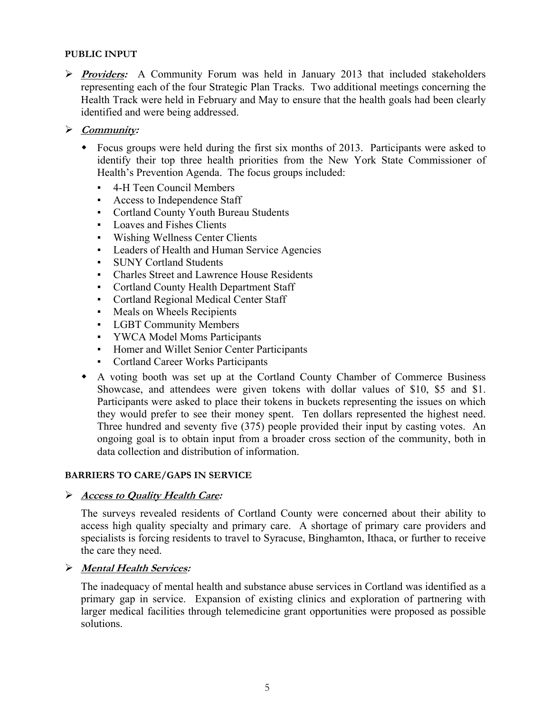#### **PUBLIC INPUT**

 **Providers:** A Community Forum was held in January 2013 that included stakeholders representing each of the four Strategic Plan Tracks. Two additional meetings concerning the Health Track were held in February and May to ensure that the health goals had been clearly identified and were being addressed.

#### **Community:**

- Focus groups were held during the first six months of 2013. Participants were asked to identify their top three health priorities from the New York State Commissioner of Health's Prevention Agenda. The focus groups included:
	- 4-H Teen Council Members
	- Access to Independence Staff
	- Cortland County Youth Bureau Students
	- Loaves and Fishes Clients
	- Wishing Wellness Center Clients
	- Leaders of Health and Human Service Agencies
	- SUNY Cortland Students
	- Charles Street and Lawrence House Residents
	- Cortland County Health Department Staff
	- Cortland Regional Medical Center Staff
	- Meals on Wheels Recipients
	- LGBT Community Members
	- YWCA Model Moms Participants
	- Homer and Willet Senior Center Participants
	- Cortland Career Works Participants
- A voting booth was set up at the Cortland County Chamber of Commerce Business Showcase, and attendees were given tokens with dollar values of \$10, \$5 and \$1. Participants were asked to place their tokens in buckets representing the issues on which they would prefer to see their money spent. Ten dollars represented the highest need. Three hundred and seventy five (375) people provided their input by casting votes. An ongoing goal is to obtain input from a broader cross section of the community, both in data collection and distribution of information.

#### **BARRIERS TO CARE/GAPS IN SERVICE**

#### **Access to Quality Health Care:**

The surveys revealed residents of Cortland County were concerned about their ability to access high quality specialty and primary care. A shortage of primary care providers and specialists is forcing residents to travel to Syracuse, Binghamton, Ithaca, or further to receive the care they need.

#### **Mental Health Services:**

The inadequacy of mental health and substance abuse services in Cortland was identified as a primary gap in service. Expansion of existing clinics and exploration of partnering with larger medical facilities through telemedicine grant opportunities were proposed as possible solutions.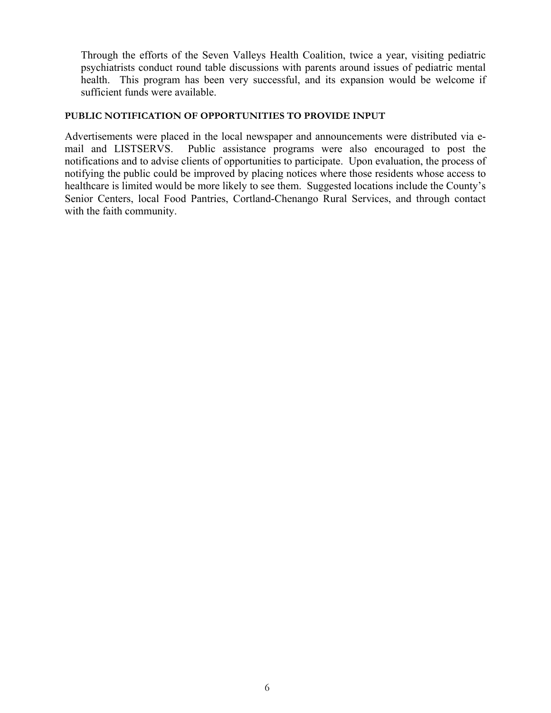Through the efforts of the Seven Valleys Health Coalition, twice a year, visiting pediatric psychiatrists conduct round table discussions with parents around issues of pediatric mental health. This program has been very successful, and its expansion would be welcome if sufficient funds were available.

#### **PUBLIC NOTIFICATION OF OPPORTUNITIES TO PROVIDE INPUT**

Advertisements were placed in the local newspaper and announcements were distributed via email and LISTSERVS. Public assistance programs were also encouraged to post the notifications and to advise clients of opportunities to participate. Upon evaluation, the process of notifying the public could be improved by placing notices where those residents whose access to healthcare is limited would be more likely to see them. Suggested locations include the County's Senior Centers, local Food Pantries, Cortland-Chenango Rural Services, and through contact with the faith community.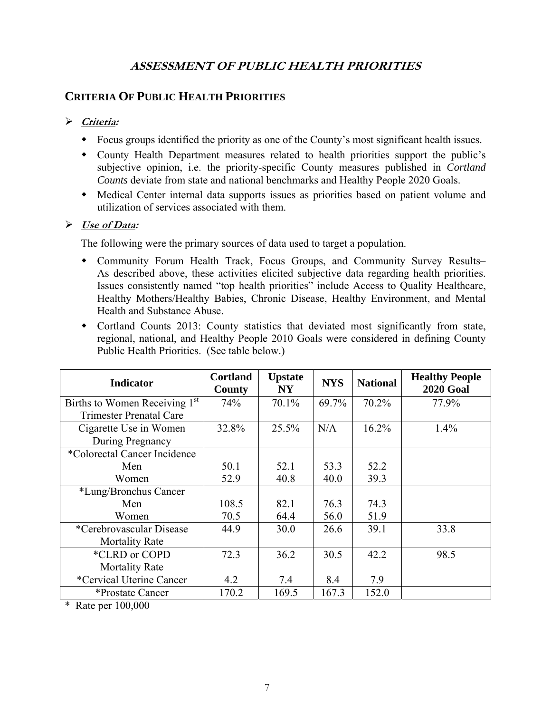# **ASSESSMENT OF PUBLIC HEALTH PRIORITIES**

# **CRITERIA OF PUBLIC HEALTH PRIORITIES**

### **Criteria:**

- Focus groups identified the priority as one of the County's most significant health issues.
- County Health Department measures related to health priorities support the public's subjective opinion, i.e. the priority-specific County measures published in *Cortland Counts* deviate from state and national benchmarks and Healthy People 2020 Goals.
- Medical Center internal data supports issues as priorities based on patient volume and utilization of services associated with them.

### **Use of Data:**

The following were the primary sources of data used to target a population.

- Community Forum Health Track, Focus Groups, and Community Survey Results– As described above, these activities elicited subjective data regarding health priorities. Issues consistently named "top health priorities" include Access to Quality Healthcare, Healthy Mothers/Healthy Babies, Chronic Disease, Healthy Environment, and Mental Health and Substance Abuse.
- Cortland Counts 2013: County statistics that deviated most significantly from state, regional, national, and Healthy People 2010 Goals were considered in defining County Public Health Priorities. (See table below.)

| <b>Indicator</b>               | <b>Cortland</b><br>County | <b>Upstate</b><br><b>NY</b> | <b>NYS</b> | <b>National</b> | <b>Healthy People</b><br><b>2020 Goal</b> |
|--------------------------------|---------------------------|-----------------------------|------------|-----------------|-------------------------------------------|
| Births to Women Receiving 1st  | 74%                       | 70.1%                       | 69.7%      | 70.2%           | 77.9%                                     |
| <b>Trimester Prenatal Care</b> |                           |                             |            |                 |                                           |
| Cigarette Use in Women         | 32.8%                     | 25.5%                       | N/A        | 16.2%           | 1.4%                                      |
| During Pregnancy               |                           |                             |            |                 |                                           |
| *Colorectal Cancer Incidence   |                           |                             |            |                 |                                           |
| Men                            | 50.1                      | 52.1                        | 53.3       | 52.2            |                                           |
| Women                          | 52.9                      | 40.8                        | 40.0       | 39.3            |                                           |
| *Lung/Bronchus Cancer          |                           |                             |            |                 |                                           |
| Men                            | 108.5                     | 82.1                        | 76.3       | 74.3            |                                           |
| Women                          | 70.5                      | 64.4                        | 56.0       | 51.9            |                                           |
| *Cerebrovascular Disease       | 44.9                      | 30.0                        | 26.6       | 39.1            | 33.8                                      |
| <b>Mortality Rate</b>          |                           |                             |            |                 |                                           |
| *CLRD or COPD                  | 72.3                      | 36.2                        | 30.5       | 42.2            | 98.5                                      |
| <b>Mortality Rate</b>          |                           |                             |            |                 |                                           |
| *Cervical Uterine Cancer       | 4.2                       | 7.4                         | 8.4        | 7.9             |                                           |
| *Prostate Cancer               | 170.2                     | 169.5                       | 167.3      | 152.0           |                                           |

\* Rate per 100,000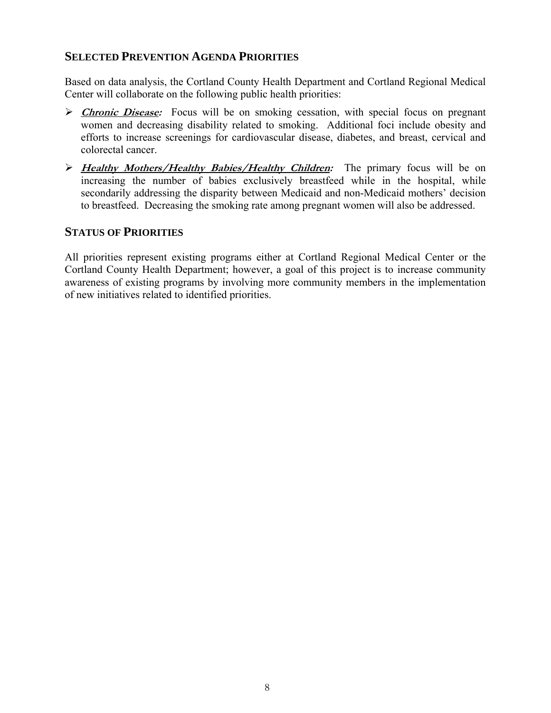# **SELECTED PREVENTION AGENDA PRIORITIES**

Based on data analysis, the Cortland County Health Department and Cortland Regional Medical Center will collaborate on the following public health priorities:

- **Echronic Disease:** Focus will be on smoking cessation, with special focus on pregnant women and decreasing disability related to smoking. Additional foci include obesity and efforts to increase screenings for cardiovascular disease, diabetes, and breast, cervical and colorectal cancer.
- **Healthy Mothers/Healthy Babies/Healthy Children:** The primary focus will be on increasing the number of babies exclusively breastfeed while in the hospital, while secondarily addressing the disparity between Medicaid and non-Medicaid mothers' decision to breastfeed. Decreasing the smoking rate among pregnant women will also be addressed.

### **STATUS OF PRIORITIES**

All priorities represent existing programs either at Cortland Regional Medical Center or the Cortland County Health Department; however, a goal of this project is to increase community awareness of existing programs by involving more community members in the implementation of new initiatives related to identified priorities.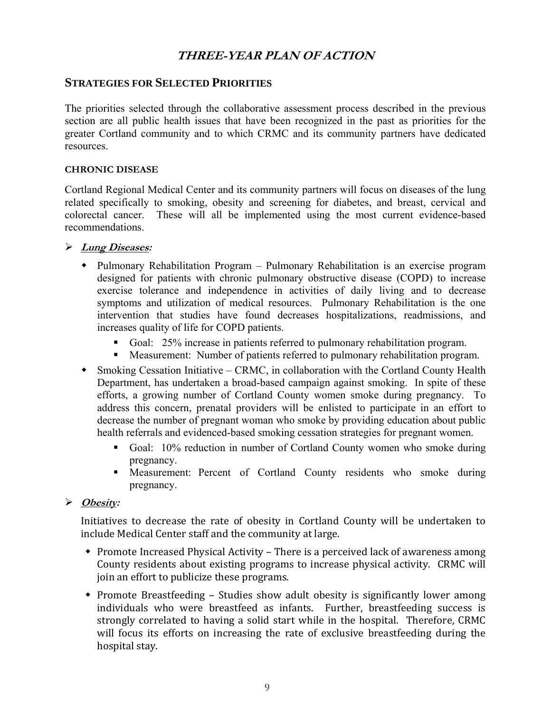# **THREE-YEAR PLAN OF ACTION**

### **STRATEGIES FOR SELECTED PRIORITIES**

The priorities selected through the collaborative assessment process described in the previous section are all public health issues that have been recognized in the past as priorities for the greater Cortland community and to which CRMC and its community partners have dedicated resources.

#### **CHRONIC DISEASE**

Cortland Regional Medical Center and its community partners will focus on diseases of the lung related specifically to smoking, obesity and screening for diabetes, and breast, cervical and colorectal cancer. These will all be implemented using the most current evidence-based recommendations.

- **Lung Diseases:** 
	- Pulmonary Rehabilitation Program Pulmonary Rehabilitation is an exercise program designed for patients with chronic pulmonary obstructive disease (COPD) to increase exercise tolerance and independence in activities of daily living and to decrease symptoms and utilization of medical resources. Pulmonary Rehabilitation is the one intervention that studies have found decreases hospitalizations, readmissions, and increases quality of life for COPD patients.
		- Goal: 25% increase in patients referred to pulmonary rehabilitation program.
		- Measurement: Number of patients referred to pulmonary rehabilitation program.
	- Smoking Cessation Initiative CRMC, in collaboration with the Cortland County Health Department, has undertaken a broad-based campaign against smoking. In spite of these efforts, a growing number of Cortland County women smoke during pregnancy. To address this concern, prenatal providers will be enlisted to participate in an effort to decrease the number of pregnant woman who smoke by providing education about public health referrals and evidenced-based smoking cessation strategies for pregnant women.
		- Goal: 10% reduction in number of Cortland County women who smoke during pregnancy.
		- Measurement: Percent of Cortland County residents who smoke during pregnancy.

### **Obesity:**

Initiatives to decrease the rate of obesity in Cortland County will be undertaken to include Medical Center staff and the community at large.

- $\bullet$  Promote Increased Physical Activity There is a perceived lack of awareness among County residents about existing programs to increase physical activity. CRMC will join an effort to publicize these programs.
- Promote Breastfeeding Studies show adult obesity is significantly lower among individuals who were breastfeed as infants. Further, breastfeeding success is strongly correlated to having a solid start while in the hospital. Therefore, CRMC will focus its efforts on increasing the rate of exclusive breastfeeding during the hospital stay.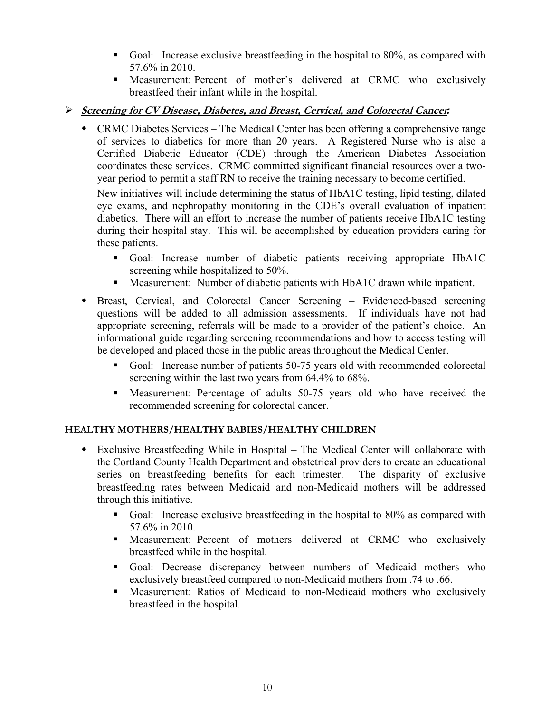- Goal: Increase exclusive breastfeeding in the hospital to 80%, as compared with 57.6% in 2010.
- Measurement: Percent of mother's delivered at CRMC who exclusively breastfeed their infant while in the hospital.
- **Screening for CV Disease, Diabetes, and Breast, Cervical, and Colorectal Cancer***:*
	- CRMC Diabetes Services The Medical Center has been offering a comprehensive range of services to diabetics for more than 20 years. A Registered Nurse who is also a Certified Diabetic Educator (CDE) through the American Diabetes Association coordinates these services. CRMC committed significant financial resources over a twoyear period to permit a staff RN to receive the training necessary to become certified.

New initiatives will include determining the status of HbA1C testing, lipid testing, dilated eye exams, and nephropathy monitoring in the CDE's overall evaluation of inpatient diabetics. There will an effort to increase the number of patients receive HbA1C testing during their hospital stay. This will be accomplished by education providers caring for these patients.

- Goal: Increase number of diabetic patients receiving appropriate HbA1C screening while hospitalized to 50%.
- Measurement: Number of diabetic patients with HbA1C drawn while inpatient.
- Breast, Cervical, and Colorectal Cancer Screening Evidenced-based screening questions will be added to all admission assessments. If individuals have not had appropriate screening, referrals will be made to a provider of the patient's choice. An informational guide regarding screening recommendations and how to access testing will be developed and placed those in the public areas throughout the Medical Center.
	- Goal: Increase number of patients 50-75 years old with recommended colorectal screening within the last two years from 64.4% to 68%.
	- Measurement: Percentage of adults 50-75 years old who have received the recommended screening for colorectal cancer.

#### **HEALTHY MOTHERS/HEALTHY BABIES/HEALTHY CHILDREN**

- Exclusive Breastfeeding While in Hospital The Medical Center will collaborate with the Cortland County Health Department and obstetrical providers to create an educational series on breastfeeding benefits for each trimester. The disparity of exclusive breastfeeding rates between Medicaid and non-Medicaid mothers will be addressed through this initiative.
	- Goal: Increase exclusive breastfeeding in the hospital to 80% as compared with 57.6% in 2010.
	- Measurement: Percent of mothers delivered at CRMC who exclusively breastfeed while in the hospital.
	- Goal: Decrease discrepancy between numbers of Medicaid mothers who exclusively breastfeed compared to non-Medicaid mothers from .74 to .66.
	- Measurement: Ratios of Medicaid to non-Medicaid mothers who exclusively breastfeed in the hospital.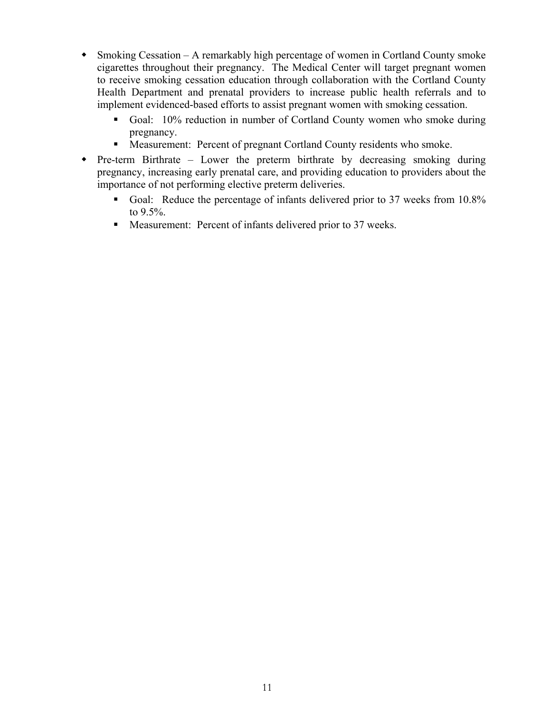- Smoking Cessation A remarkably high percentage of women in Cortland County smoke cigarettes throughout their pregnancy. The Medical Center will target pregnant women to receive smoking cessation education through collaboration with the Cortland County Health Department and prenatal providers to increase public health referrals and to implement evidenced-based efforts to assist pregnant women with smoking cessation.
	- Goal: 10% reduction in number of Cortland County women who smoke during pregnancy.
	- Measurement: Percent of pregnant Cortland County residents who smoke.
- Pre-term Birthrate Lower the preterm birthrate by decreasing smoking during pregnancy, increasing early prenatal care, and providing education to providers about the importance of not performing elective preterm deliveries.
	- Goal: Reduce the percentage of infants delivered prior to 37 weeks from 10.8% to 9.5%.
	- Measurement: Percent of infants delivered prior to 37 weeks.